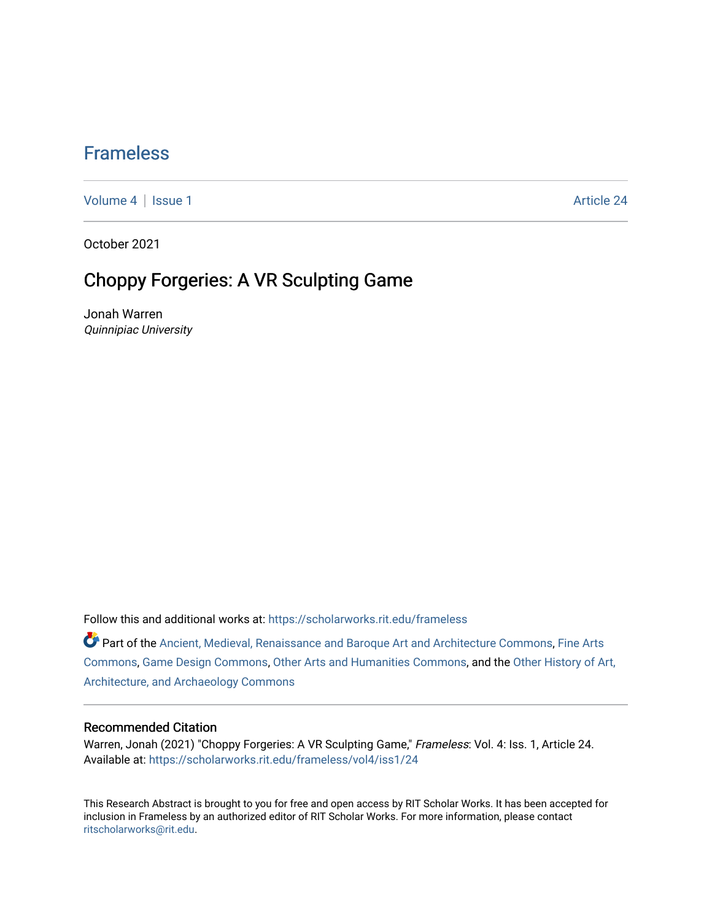### [Frameless](https://scholarworks.rit.edu/frameless)

[Volume 4](https://scholarworks.rit.edu/frameless/vol4) | [Issue 1](https://scholarworks.rit.edu/frameless/vol4/iss1) Article 24

October 2021

## Choppy Forgeries: A VR Sculpting Game

Jonah Warren Quinnipiac University

Follow this and additional works at: [https://scholarworks.rit.edu/frameless](https://scholarworks.rit.edu/frameless?utm_source=scholarworks.rit.edu%2Fframeless%2Fvol4%2Fiss1%2F24&utm_medium=PDF&utm_campaign=PDFCoverPages)

Part of the [Ancient, Medieval, Renaissance and Baroque Art and Architecture Commons](https://network.bepress.com/hgg/discipline/512?utm_source=scholarworks.rit.edu%2Fframeless%2Fvol4%2Fiss1%2F24&utm_medium=PDF&utm_campaign=PDFCoverPages), Fine Arts [Commons](https://network.bepress.com/hgg/discipline/1141?utm_source=scholarworks.rit.edu%2Fframeless%2Fvol4%2Fiss1%2F24&utm_medium=PDF&utm_campaign=PDFCoverPages), [Game Design Commons,](https://network.bepress.com/hgg/discipline/1133?utm_source=scholarworks.rit.edu%2Fframeless%2Fvol4%2Fiss1%2F24&utm_medium=PDF&utm_campaign=PDFCoverPages) [Other Arts and Humanities Commons](https://network.bepress.com/hgg/discipline/577?utm_source=scholarworks.rit.edu%2Fframeless%2Fvol4%2Fiss1%2F24&utm_medium=PDF&utm_campaign=PDFCoverPages), and the [Other History of Art,](https://network.bepress.com/hgg/discipline/517?utm_source=scholarworks.rit.edu%2Fframeless%2Fvol4%2Fiss1%2F24&utm_medium=PDF&utm_campaign=PDFCoverPages)  [Architecture, and Archaeology Commons](https://network.bepress.com/hgg/discipline/517?utm_source=scholarworks.rit.edu%2Fframeless%2Fvol4%2Fiss1%2F24&utm_medium=PDF&utm_campaign=PDFCoverPages) 

#### Recommended Citation

Warren, Jonah (2021) "Choppy Forgeries: A VR Sculpting Game," Frameless: Vol. 4: Iss. 1, Article 24. Available at: [https://scholarworks.rit.edu/frameless/vol4/iss1/24](https://scholarworks.rit.edu/frameless/vol4/iss1/24?utm_source=scholarworks.rit.edu%2Fframeless%2Fvol4%2Fiss1%2F24&utm_medium=PDF&utm_campaign=PDFCoverPages) 

This Research Abstract is brought to you for free and open access by RIT Scholar Works. It has been accepted for inclusion in Frameless by an authorized editor of RIT Scholar Works. For more information, please contact [ritscholarworks@rit.edu](mailto:ritscholarworks@rit.edu).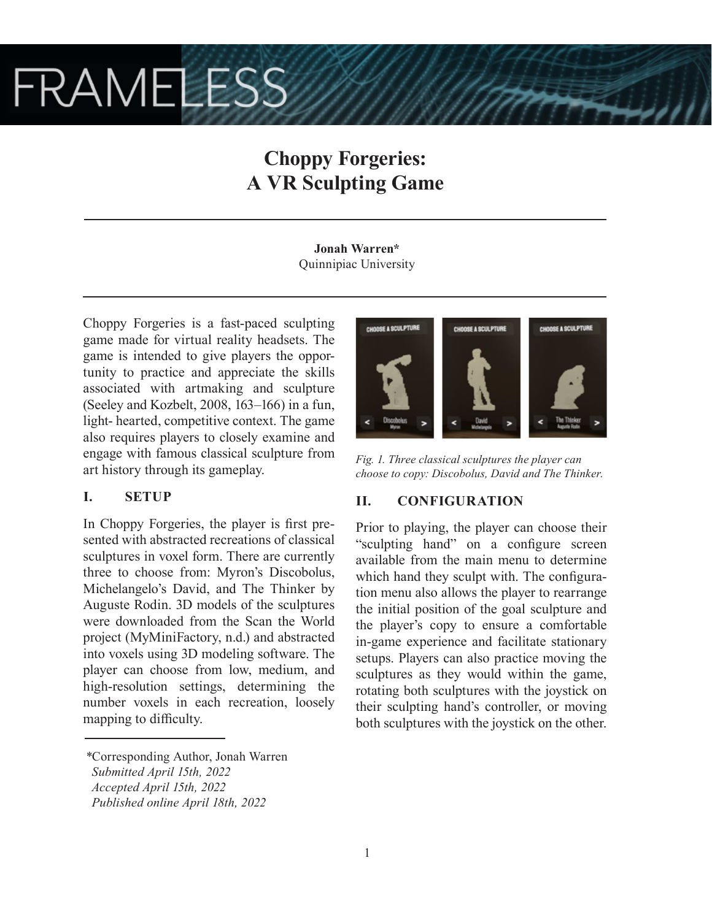# **FRAMELESS**

# **Choppy Forgeries: A VR Sculpting Game**

**Jonah Warren\*** Quinnipiac University

Choppy Forgeries is a fast-paced sculpting game made for virtual reality headsets. The game is intended to give players the opportunity to practice and appreciate the skills associated with artmaking and sculpture (Seeley and Kozbelt, 2008, 163–166) in a fun, light- hearted, competitive context. The game also requires players to closely examine and engage with famous classical sculpture from art history through its gameplay.

#### **I. SETUP**

In Choppy Forgeries, the player is first presented with abstracted recreations of classical sculptures in voxel form. There are currently three to choose from: Myron's Discobolus, Michelangelo's David, and The Thinker by Auguste Rodin. 3D models of the sculptures were downloaded from the Scan the World project (MyMiniFactory, n.d.) and abstracted into voxels using 3D modeling software. The player can choose from low, medium, and high-resolution settings, determining the number voxels in each recreation, loosely mapping to difficulty.

*\**Corresponding Author, Jonah Warren  *Submitted April 15th, 2022 Accepted April 15th, 2022 Published online April 18th, 2022*



*Fig. 1. Three classical sculptures the player can choose to copy: Discobolus, David and The Thinker.*

#### **II. CONFIGURATION**

Prior to playing, the player can choose their "sculpting hand" on a configure screen available from the main menu to determine which hand they sculpt with. The configuration menu also allows the player to rearrange the initial position of the goal sculpture and the player's copy to ensure a comfortable in-game experience and facilitate stationary setups. Players can also practice moving the sculptures as they would within the game, rotating both sculptures with the joystick on their sculpting hand's controller, or moving both sculptures with the joystick on the other.